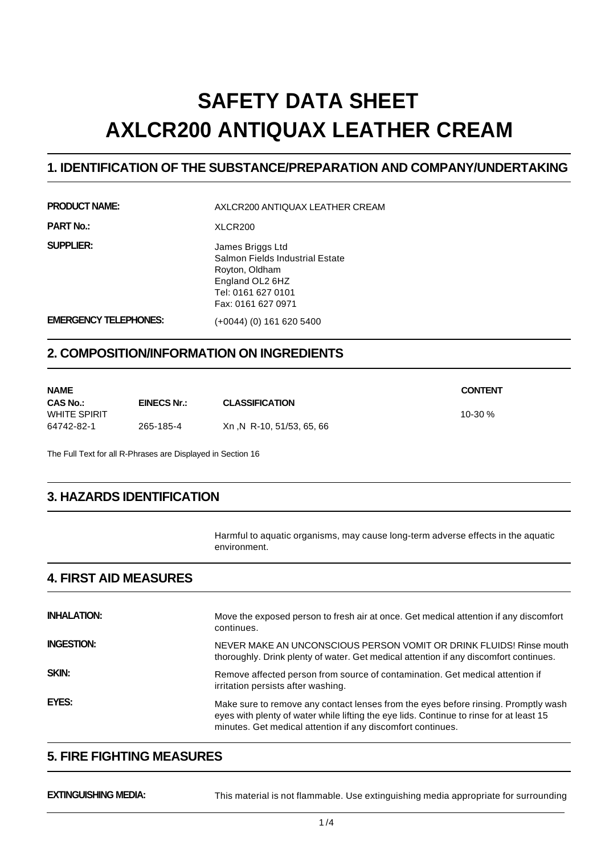# **SAFETY DATA SHEET AXLCR200 ANTIQUAX LEATHER CREAM**

#### **1. IDENTIFICATION OF THE SUBSTANCE/PREPARATION AND COMPANY/UNDERTAKING**

**PRODUCT NAME:** AXLCR200 ANTIQUAX LEATHER CREAM

**PART No.:** XLCR200

**SUPPLIER:** James Briggs Ltd Salmon Fields Industrial Estate Royton, Oldham England OL2 6HZ Tel: 0161 627 0101 Fax: 0161 627 0971

**EMERGENCY TELEPHONES:** (+0044) (0) 161 620 5400

## **2. COMPOSITION/INFORMATION ON INGREDIENTS**

| NAME         |             |                           | <b>CONTENT</b> |
|--------------|-------------|---------------------------|----------------|
| CAS No.:     | EINECS Nr.: | <b>CLASSIFICATION</b>     |                |
| WHITE SPIRIT |             |                           | 10-30 $%$      |
| 64742-82-1   | 265-185-4   | Xn ,N R-10, 51/53, 65, 66 |                |

The Full Text for all R-Phrases are Displayed in Section 16

# **3. HAZARDS IDENTIFICATION**

Harmful to aquatic organisms, may cause long-term adverse effects in the aquatic environment.

## **4. FIRST AID MEASURES**

| <b>INHALATION:</b> | Move the exposed person to fresh air at once. Get medical attention if any discomfort<br>continues.                                                                                                                                          |
|--------------------|----------------------------------------------------------------------------------------------------------------------------------------------------------------------------------------------------------------------------------------------|
| <b>INGESTION:</b>  | NEVER MAKE AN UNCONSCIOUS PERSON VOMIT OR DRINK FLUIDS! Rinse mouth<br>thoroughly. Drink plenty of water. Get medical attention if any discomfort continues.                                                                                 |
| <b>SKIN:</b>       | Remove affected person from source of contamination. Get medical attention if<br>irritation persists after washing.                                                                                                                          |
| EYES:              | Make sure to remove any contact lenses from the eyes before rinsing. Promptly wash<br>eyes with plenty of water while lifting the eye lids. Continue to rinse for at least 15<br>minutes. Get medical attention if any discomfort continues. |

### **5. FIRE FIGHTING MEASURES**

**EXTINGUISHING MEDIA:** This material is not flammable. Use extinguishing media appropriate for surrounding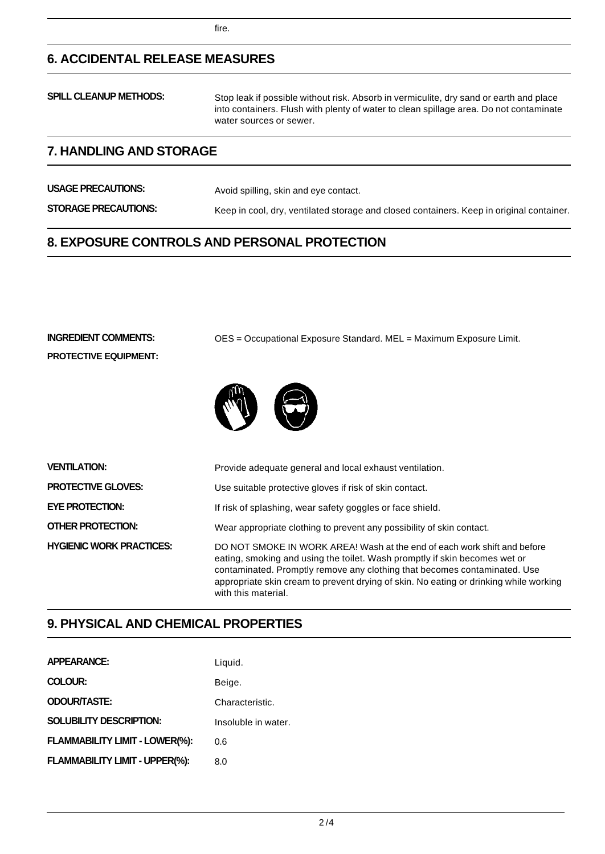# **6. ACCIDENTAL RELEASE MEASURES**

| <b>SPILL CLEANUP METHODS:</b> | Stop leak if possible without risk. Absorb in vermiculite, dry sand or earth and place<br>into containers. Flush with plenty of water to clean spillage area. Do not contaminate<br>water sources or sewer. |
|-------------------------------|-------------------------------------------------------------------------------------------------------------------------------------------------------------------------------------------------------------|
|                               |                                                                                                                                                                                                             |

## **7. HANDLING AND STORAGE**

**USAGE PRECAUTIONS:** Avoid spilling, skin and eye contact. **STORAGE PRECAUTIONS:** Keep in cool, dry, ventilated storage and closed containers. Keep in original container.

## **8. EXPOSURE CONTROLS AND PERSONAL PROTECTION**

**PROTECTIVE EQUIPMENT:**

**INGREDIENT COMMENTS:** OES = Occupational Exposure Standard. MEL = Maximum Exposure Limit.



| <b>VENTILATION:</b>             | Provide adequate general and local exhaust ventilation.                                                                                                                                                                                                                                                                                             |
|---------------------------------|-----------------------------------------------------------------------------------------------------------------------------------------------------------------------------------------------------------------------------------------------------------------------------------------------------------------------------------------------------|
| <b>PROTECTIVE GLOVES:</b>       | Use suitable protective gloves if risk of skin contact.                                                                                                                                                                                                                                                                                             |
| <b>EYE PROTECTION:</b>          | If risk of splashing, wear safety goggles or face shield.                                                                                                                                                                                                                                                                                           |
| OTHER PROTECTION:               | Wear appropriate clothing to prevent any possibility of skin contact.                                                                                                                                                                                                                                                                               |
| <b>HYGIENIC WORK PRACTICES:</b> | DO NOT SMOKE IN WORK AREA! Wash at the end of each work shift and before<br>eating, smoking and using the toilet. Wash promptly if skin becomes wet or<br>contaminated. Promptly remove any clothing that becomes contaminated. Use<br>appropriate skin cream to prevent drying of skin. No eating or drinking while working<br>with this material. |

# **9. PHYSICAL AND CHEMICAL PROPERTIES**

| <b>APPEARANCE:</b>             | Liquid.             |
|--------------------------------|---------------------|
| <b>COLOUR:</b>                 | Beige.              |
| <b>ODOUR/TASTE:</b>            | Characteristic.     |
| <b>SOLUBILITY DESCRIPTION:</b> | Insoluble in water. |
| FLAMMABILITY LIMIT - LOWER(%): | 0.6                 |
| FLAMMABILITY LIMIT - UPPER(%): | 8.0                 |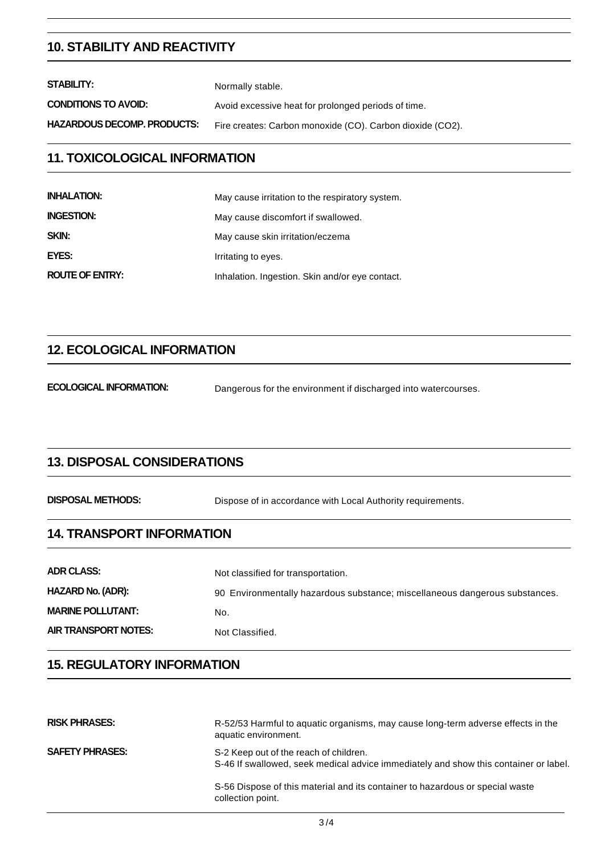#### **10. STABILITY AND REACTIVITY**

| STABILITY:                  | Normally stable.                                          |
|-----------------------------|-----------------------------------------------------------|
| <b>CONDITIONS TO AVOID:</b> | Avoid excessive heat for prolonged periods of time.       |
| HAZARDOUS DECOMP. PRODUCTS: | Fire creates: Carbon monoxide (CO). Carbon dioxide (CO2). |
|                             |                                                           |

#### **11. TOXICOLOGICAL INFORMATION**

| <b>INHALATION:</b>     | May cause irritation to the respiratory system. |
|------------------------|-------------------------------------------------|
| <b>INGESTION:</b>      | May cause discomfort if swallowed.              |
| SKIN:                  | May cause skin irritation/eczema                |
| EYES:                  | Irritating to eyes.                             |
| <b>ROUTE OF ENTRY:</b> | Inhalation. Ingestion. Skin and/or eye contact. |

# **12. ECOLOGICAL INFORMATION**

**ECOLOGICAL INFORMATION:** Dangerous for the environment if discharged into watercourses.

#### **13. DISPOSAL CONSIDERATIONS**

**DISPOSAL METHODS:** Dispose of in accordance with Local Authority requirements.

# **14. TRANSPORT INFORMATION**

| <b>ADR CLASS:</b>        | Not classified for transportation.                                          |
|--------------------------|-----------------------------------------------------------------------------|
| <b>HAZARD No. (ADR):</b> | 90 Environmentally hazardous substance; miscellaneous dangerous substances. |
| <b>MARINE POLLUTANT:</b> | No.                                                                         |
| AIR TRANSPORT NOTES:     | Not Classified.                                                             |

#### **15. REGULATORY INFORMATION**

| <b>RISK PHRASES:</b>   | R-52/53 Harmful to aquatic organisms, may cause long-term adverse effects in the<br>aquatic environment.                       |
|------------------------|--------------------------------------------------------------------------------------------------------------------------------|
| <b>SAFETY PHRASES:</b> | S-2 Keep out of the reach of children.<br>S-46 If swallowed, seek medical advice immediately and show this container or label. |
|                        | S-56 Dispose of this material and its container to hazardous or special waste<br>collection point.                             |